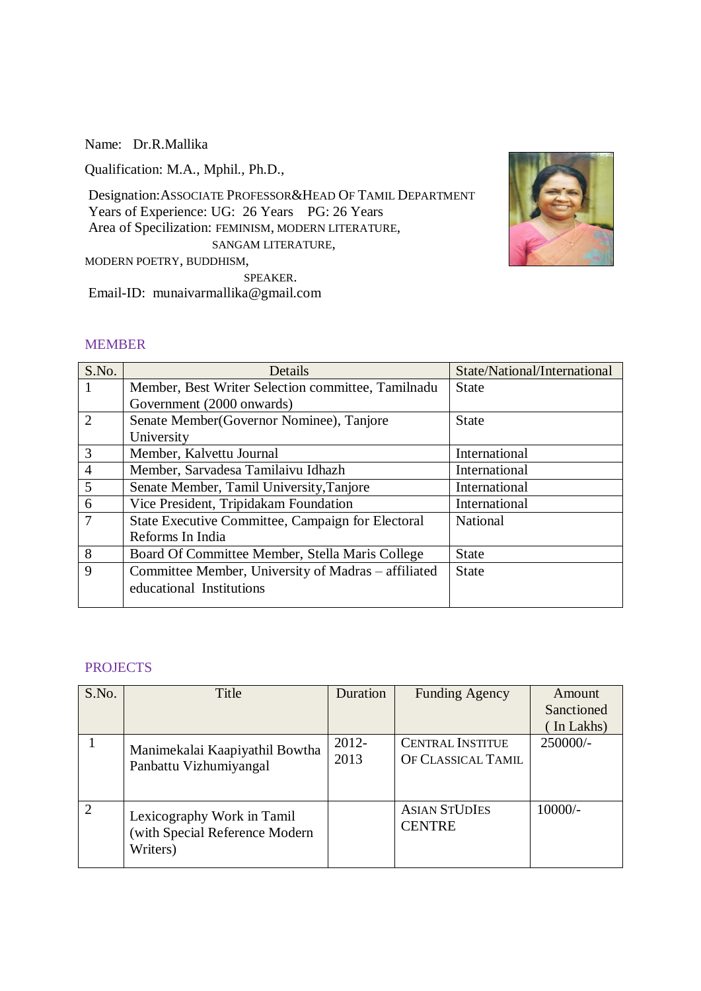Name: Dr.R.Mallika

Qualification: M.A., Mphil., Ph.D.,

Designation:ASSOCIATE PROFESSOR&HEAD OF TAMIL DEPARTMENT Years of Experience: UG: 26 Years PG: 26 Years Area of Specilization: FEMINISM, MODERN LITERATURE, SANGAM LITERATURE,

MODERN POETRY, BUDDHISM,

SPEAKER. Email-ID: munaivarmallika@gmail.com



#### MEMBER

| S.No.          | Details                                             | State/National/International |
|----------------|-----------------------------------------------------|------------------------------|
| -1             | Member, Best Writer Selection committee, Tamilnadu  | <b>State</b>                 |
|                | Government (2000 onwards)                           |                              |
| 2              | Senate Member(Governor Nominee), Tanjore            | <b>State</b>                 |
|                | University                                          |                              |
| 3              | Member, Kalvettu Journal                            | International                |
| $\overline{4}$ | Member, Sarvadesa Tamilaivu Idhazh                  | International                |
| 5              | Senate Member, Tamil University, Tanjore            | International                |
| 6              | Vice President, Tripidakam Foundation               | International                |
| $\overline{7}$ | State Executive Committee, Campaign for Electoral   | National                     |
|                | Reforms In India                                    |                              |
| 8              | Board Of Committee Member, Stella Maris College     | <b>State</b>                 |
| 9              | Committee Member, University of Madras – affiliated | <b>State</b>                 |
|                | educational Institutions                            |                              |
|                |                                                     |                              |

#### **PROJECTS**

| S.No. | Title                                                                    | Duration         | <b>Funding Agency</b>                         | Amount<br>Sanctioned<br>In Lakhs) |
|-------|--------------------------------------------------------------------------|------------------|-----------------------------------------------|-----------------------------------|
|       | Manimekalai Kaapiyathil Bowtha<br>Panbattu Vizhumiyangal                 | $2012 -$<br>2013 | <b>CENTRAL INSTITUE</b><br>OF CLASSICAL TAMIL | 250000/-                          |
| 2     | Lexicography Work in Tamil<br>(with Special Reference Modern<br>Writers) |                  | <b>ASIAN STUDIES</b><br><b>CENTRE</b>         | $10000/-$                         |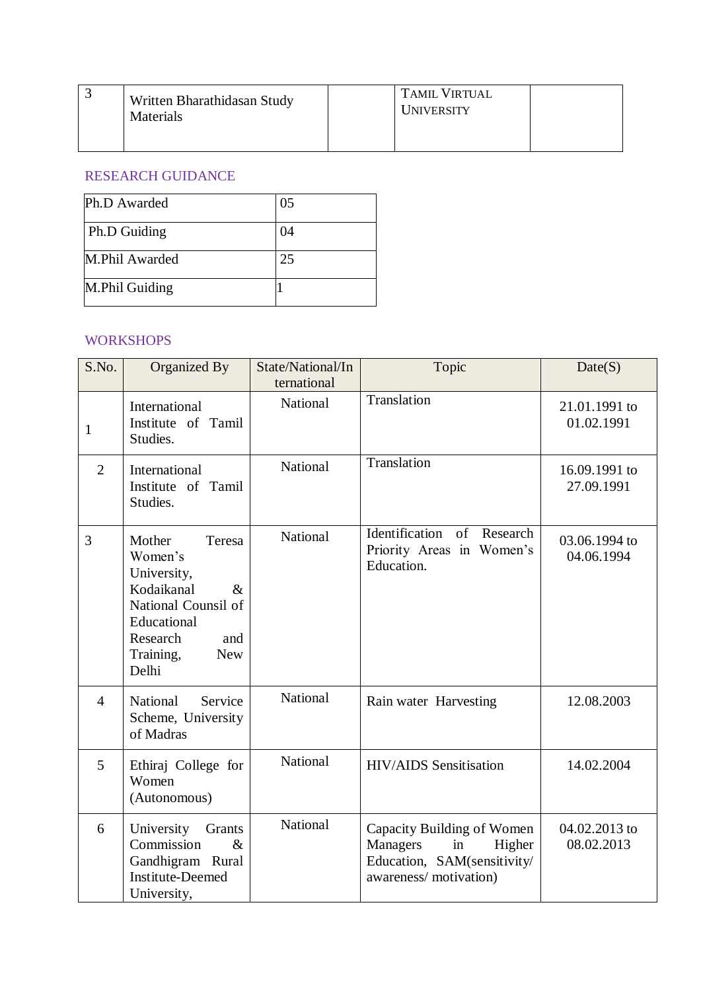| Written Bharathidasan Study<br>Materials | <b>TAMIL VIRTUAL</b><br>UNIVERSITY |  |
|------------------------------------------|------------------------------------|--|
|                                          |                                    |  |

# RESEARCH GUIDANCE

| Ph.D Awarded   | 05 |
|----------------|----|
| Ph.D Guiding   | 04 |
| M.Phil Awarded | 25 |
| M.Phil Guiding |    |

#### WORKSHOPS

| S.No.          | Organized By                                                                                                                                                  | State/National/In<br>ternational | Topic                                                                                                                 | Date(S)                     |
|----------------|---------------------------------------------------------------------------------------------------------------------------------------------------------------|----------------------------------|-----------------------------------------------------------------------------------------------------------------------|-----------------------------|
| 1              | International<br>Institute of Tamil<br>Studies.                                                                                                               | National                         | Translation                                                                                                           | 21.01.1991 to<br>01.02.1991 |
| $\overline{2}$ | International<br>Institute of Tamil<br>Studies.                                                                                                               | National                         | Translation                                                                                                           | 16.09.1991 to<br>27.09.1991 |
| 3              | Mother<br>Teresa<br>Women's<br>University,<br>Kodaikanal<br>$\&$<br>National Counsil of<br>Educational<br>Research<br>and<br>Training,<br><b>New</b><br>Delhi | National                         | Identification<br><sub>of</sub><br>Research<br>Priority Areas in Women's<br>Education.                                | 03.06.1994 to<br>04.06.1994 |
| $\overline{4}$ | Service<br>National<br>Scheme, University<br>of Madras                                                                                                        | National                         | Rain water Harvesting                                                                                                 | 12.08.2003                  |
| 5              | Ethiraj College for<br>Women<br>(Autonomous)                                                                                                                  | National                         | <b>HIV/AIDS</b> Sensitisation                                                                                         | 14.02.2004                  |
| 6              | University<br>Grants<br>Commission<br>$\&$<br>Gandhigram Rural<br><b>Institute-Deemed</b><br>University,                                                      | National                         | Capacity Building of Women<br><b>Managers</b><br>in<br>Higher<br>Education, SAM(sensitivity/<br>awareness/motivation) | 04.02.2013 to<br>08.02.2013 |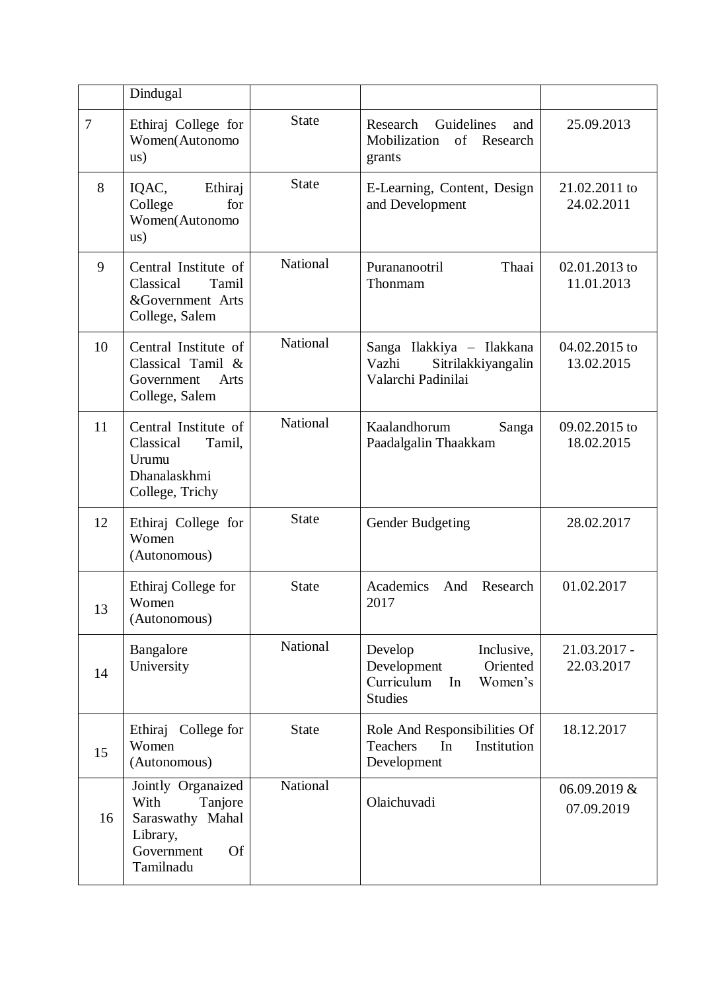|                | Dindugal                                                                                                      |                 |                                                                                                   |                             |
|----------------|---------------------------------------------------------------------------------------------------------------|-----------------|---------------------------------------------------------------------------------------------------|-----------------------------|
| $\overline{7}$ | Ethiraj College for<br>Women(Autonomo<br>$\text{us})$                                                         | <b>State</b>    | Research<br>Guidelines<br>and<br>Mobilization<br>of Research<br>grants                            | 25.09.2013                  |
| 8              | IQAC,<br>Ethiraj<br>for<br>College<br>Women(Autonomo<br>$\text{us})$                                          | <b>State</b>    | E-Learning, Content, Design<br>and Development                                                    | 21.02.2011 to<br>24.02.2011 |
| 9              | Central Institute of<br>Classical<br>Tamil<br>&Government Arts<br>College, Salem                              | National        | Purananootril<br>Thaai<br>Thonmam                                                                 | 02.01.2013 to<br>11.01.2013 |
| 10             | Central Institute of<br>Classical Tamil &<br>Government<br>Arts<br>College, Salem                             | <b>National</b> | Sanga Ilakkiya - Ilakkana<br>Sitrilakkiyangalin<br>Vazhi<br>Valarchi Padinilai                    | 04.02.2015 to<br>13.02.2015 |
| 11             | Central Institute of<br>Classical<br>Tamil,<br>Urumu<br>Dhanalaskhmi<br>College, Trichy                       | National        | Kaalandhorum<br>Sanga<br>Paadalgalin Thaakkam                                                     | 09.02.2015 to<br>18.02.2015 |
| 12             | Ethiraj College for<br>Women<br>(Autonomous)                                                                  | <b>State</b>    | Gender Budgeting                                                                                  | 28.02.2017                  |
| 13             | Ethiraj College for<br>Women<br>(Autonomous)                                                                  | <b>State</b>    | Academics<br>And<br>Research<br>2017                                                              | 01.02.2017                  |
| 14             | Bangalore<br>University                                                                                       | National        | Develop<br>Inclusive,<br>Development<br>Oriented<br>Curriculum<br>In<br>Women's<br><b>Studies</b> | 21.03.2017 -<br>22.03.2017  |
| 15             | Ethiraj College for<br>Women<br>(Autonomous)                                                                  | <b>State</b>    | Role And Responsibilities Of<br><b>Teachers</b><br>In<br>Institution<br>Development               | 18.12.2017                  |
| 16             | Jointly Organaized<br>With<br>Tanjore<br>Saraswathy Mahal<br>Library,<br><b>Of</b><br>Government<br>Tamilnadu | National        | Olaichuvadi                                                                                       | 06.09.2019 &<br>07.09.2019  |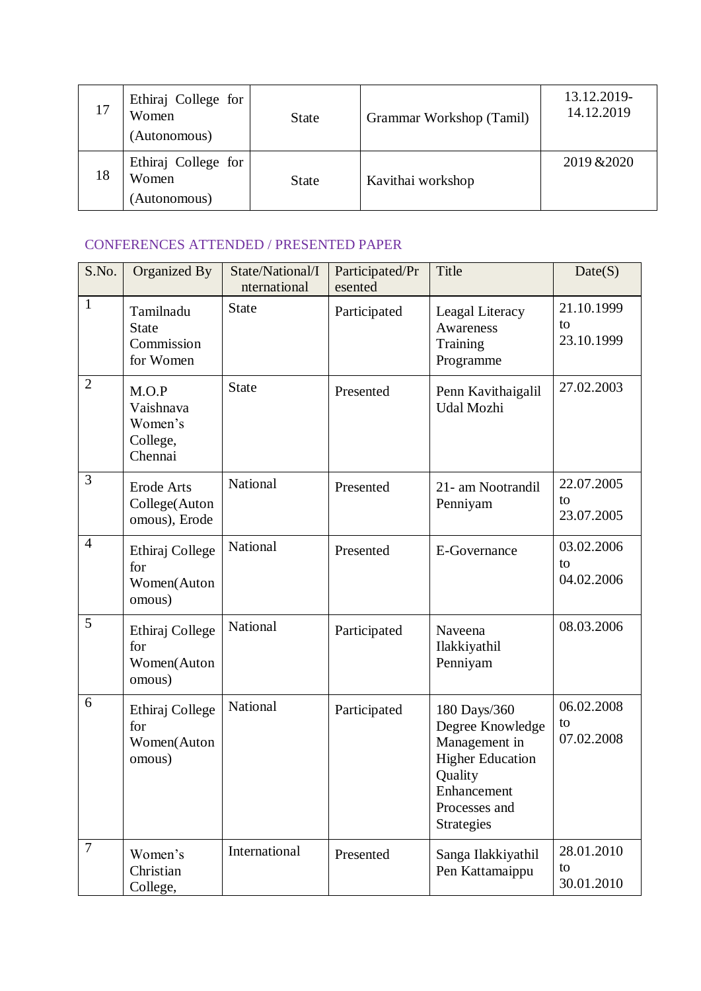| 17 | Ethiraj College for<br>Women<br>(Autonomous) | <b>State</b> | Grammar Workshop (Tamil) | 13.12.2019-<br>14.12.2019 |
|----|----------------------------------------------|--------------|--------------------------|---------------------------|
| 18 | Ethiraj College for<br>Women<br>(Autonomous) | <b>State</b> | Kavithai workshop        | 2019 & 2020               |

# CONFERENCES ATTENDED / PRESENTED PAPER

| S.No.          | Organized By                                         | State/National/I<br>nternational | Participated/Pr<br>esented | Title                                                                                                                                        | Date(S)                        |
|----------------|------------------------------------------------------|----------------------------------|----------------------------|----------------------------------------------------------------------------------------------------------------------------------------------|--------------------------------|
| $\mathbf{1}$   | Tamilnadu<br><b>State</b><br>Commission<br>for Women | <b>State</b>                     | Participated               | Leagal Literacy<br><b>Awareness</b><br>Training<br>Programme                                                                                 | 21.10.1999<br>to<br>23.10.1999 |
| $\overline{2}$ | M.O.P<br>Vaishnava<br>Women's<br>College,<br>Chennai | <b>State</b>                     | Presented                  | Penn Kavithaigalil<br>Udal Mozhi                                                                                                             | 27.02.2003                     |
| 3              | <b>Erode Arts</b><br>College(Auton<br>omous), Erode  | National                         | Presented                  | 21- am Nootrandil<br>Penniyam                                                                                                                | 22.07.2005<br>to<br>23.07.2005 |
| $\overline{4}$ | Ethiraj College<br>for<br>Women(Auton<br>omous)      | National                         | Presented                  | E-Governance                                                                                                                                 | 03.02.2006<br>to<br>04.02.2006 |
| 5              | Ethiraj College<br>for<br>Women(Auton<br>omous)      | National                         | Participated               | Naveena<br>Ilakkiyathil<br>Penniyam                                                                                                          | 08.03.2006                     |
| 6              | Ethiraj College<br>for<br>Women(Auton<br>omous)      | National                         | Participated               | 180 Days/360<br>Degree Knowledge<br>Management in<br><b>Higher Education</b><br>Quality<br>Enhancement<br>Processes and<br><b>Strategies</b> | 06.02.2008<br>to<br>07.02.2008 |
| $\overline{7}$ | Women's<br>Christian<br>College,                     | International                    | Presented                  | Sanga Ilakkiyathil<br>Pen Kattamaippu                                                                                                        | 28.01.2010<br>to<br>30.01.2010 |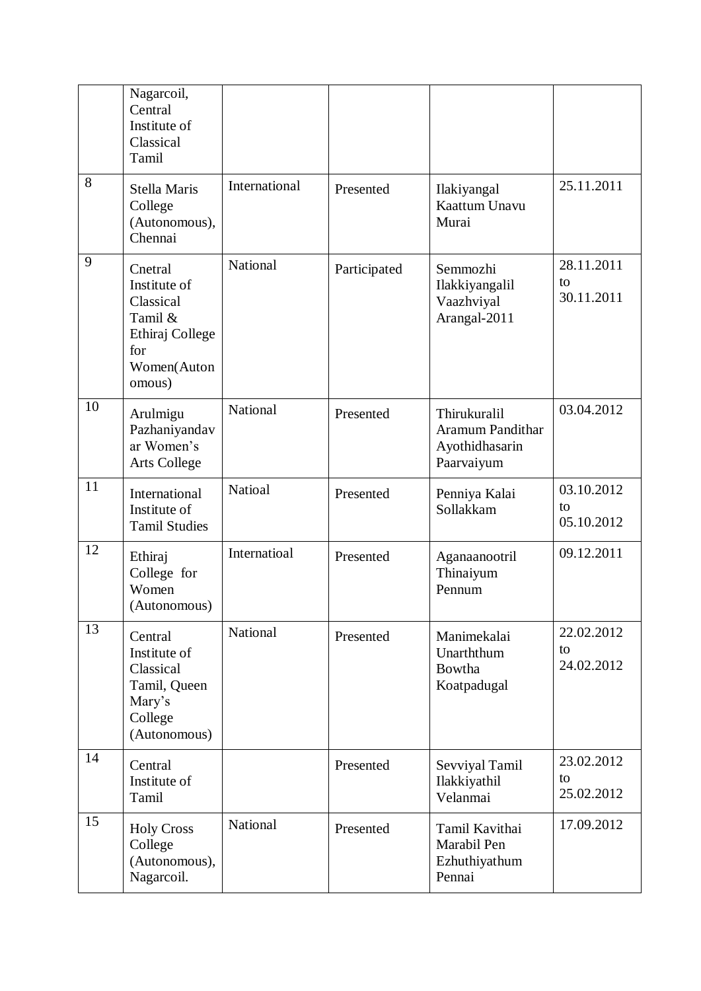|    | Nagarcoil,<br>Central<br>Institute of<br>Classical<br>Tamil                                        |                 |              |                                                                         |                                |
|----|----------------------------------------------------------------------------------------------------|-----------------|--------------|-------------------------------------------------------------------------|--------------------------------|
| 8  | Stella Maris<br>College<br>(Autonomous),<br>Chennai                                                | International   | Presented    | Ilakiyangal<br>Kaattum Unavu<br>Murai                                   | 25.11.2011                     |
| 9  | Cnetral<br>Institute of<br>Classical<br>Tamil &<br>Ethiraj College<br>for<br>Women(Auton<br>omous) | National        | Participated | Semmozhi<br>Ilakkiyangalil<br>Vaazhviyal<br>Arangal-2011                | 28.11.2011<br>to<br>30.11.2011 |
| 10 | Arulmigu<br>Pazhaniyandav<br>ar Women's<br>Arts College                                            | <b>National</b> | Presented    | Thirukuralil<br><b>Aramum Pandithar</b><br>Ayothidhasarin<br>Paarvaiyum | 03.04.2012                     |
| 11 | International<br>Institute of<br><b>Tamil Studies</b>                                              | Natioal         | Presented    | Penniya Kalai<br>Sollakkam                                              | 03.10.2012<br>to<br>05.10.2012 |
| 12 | Ethiraj<br>College for<br>Women<br>(Autonomous)                                                    | Internatioal    | Presented    | Aganaanootril<br>Thinaiyum<br>Pennum                                    | 09.12.2011                     |
| 13 | Central<br>Institute of<br>Classical<br>Tamil, Queen<br>Mary's<br>College<br>(Autonomous)          | National        | Presented    | Manimekalai<br>Unarththum<br><b>Bowtha</b><br>Koatpadugal               | 22.02.2012<br>to<br>24.02.2012 |
| 14 | Central<br>Institute of<br>Tamil                                                                   |                 | Presented    | Sevviyal Tamil<br>Ilakkiyathil<br>Velanmai                              | 23.02.2012<br>to<br>25.02.2012 |
| 15 | <b>Holy Cross</b><br>College<br>(Autonomous),<br>Nagarcoil.                                        | National        | Presented    | Tamil Kavithai<br>Marabil Pen<br>Ezhuthiyathum<br>Pennai                | 17.09.2012                     |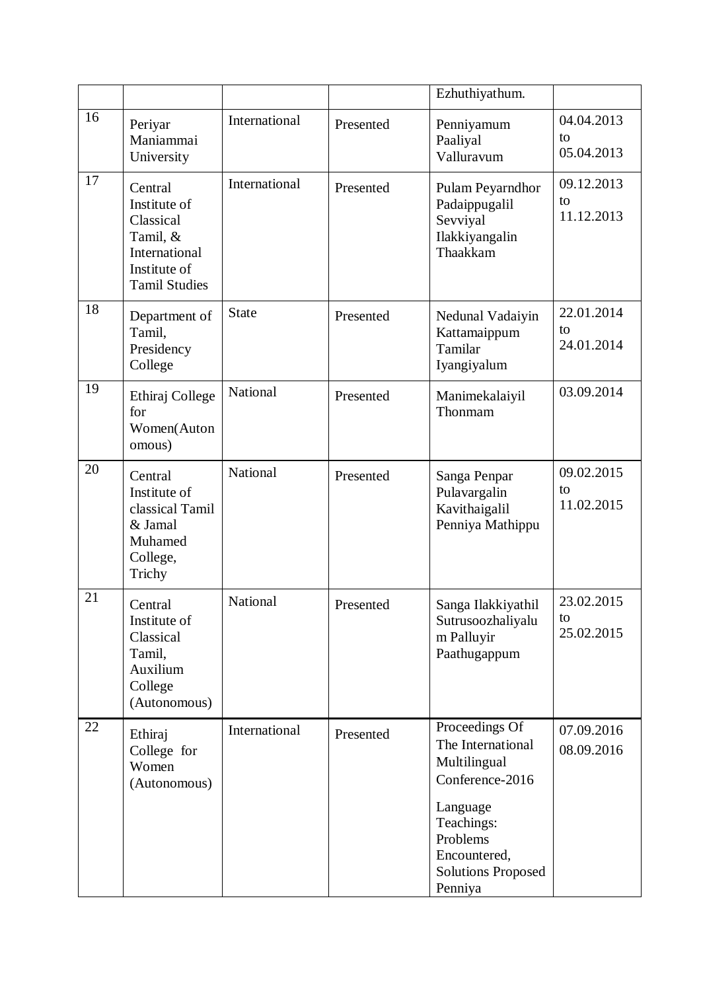|    |                                                                                                                  |                 |           | Ezhuthiyathum.                                                                                                                                                       |                                |
|----|------------------------------------------------------------------------------------------------------------------|-----------------|-----------|----------------------------------------------------------------------------------------------------------------------------------------------------------------------|--------------------------------|
| 16 | Periyar<br>Maniammai<br>University                                                                               | International   | Presented | Penniyamum<br>Paaliyal<br>Valluravum                                                                                                                                 | 04.04.2013<br>to<br>05.04.2013 |
| 17 | Central<br>Institute of<br>Classical<br>Tamil, &<br><b>International</b><br>Institute of<br><b>Tamil Studies</b> | International   | Presented | Pulam Peyarndhor<br>Padaippugalil<br>Sevviyal<br>Ilakkiyangalin<br>Thaakkam                                                                                          | 09.12.2013<br>to<br>11.12.2013 |
| 18 | Department of<br>Tamil,<br>Presidency<br>College                                                                 | <b>State</b>    | Presented | Nedunal Vadaiyin<br>Kattamaippum<br>Tamilar<br>Iyangiyalum                                                                                                           | 22.01.2014<br>to<br>24.01.2014 |
| 19 | Ethiraj College<br>for<br>Women(Auton<br>omous)                                                                  | <b>National</b> | Presented | Manimekalaiyil<br>Thonmam                                                                                                                                            | 03.09.2014                     |
| 20 | Central<br>Institute of<br>classical Tamil<br>& Jamal<br>Muhamed<br>College,<br>Trichy                           | National        | Presented | Sanga Penpar<br>Pulavargalin<br>Kavithaigalil<br>Penniya Mathippu                                                                                                    | 09.02.2015<br>to<br>11.02.2015 |
| 21 | Central<br>Institute of<br>Classical<br>Tamil,<br>Auxilium<br>College<br>(Autonomous)                            | National        | Presented | Sanga Ilakkiyathil<br>Sutrusoozhaliyalu<br>m Palluyir<br>Paathugappum                                                                                                | 23.02.2015<br>to<br>25.02.2015 |
| 22 | Ethiraj<br>College for<br>Women<br>(Autonomous)                                                                  | International   | Presented | Proceedings Of<br>The International<br>Multilingual<br>Conference-2016<br>Language<br>Teachings:<br>Problems<br>Encountered,<br><b>Solutions Proposed</b><br>Penniya | 07.09.2016<br>08.09.2016       |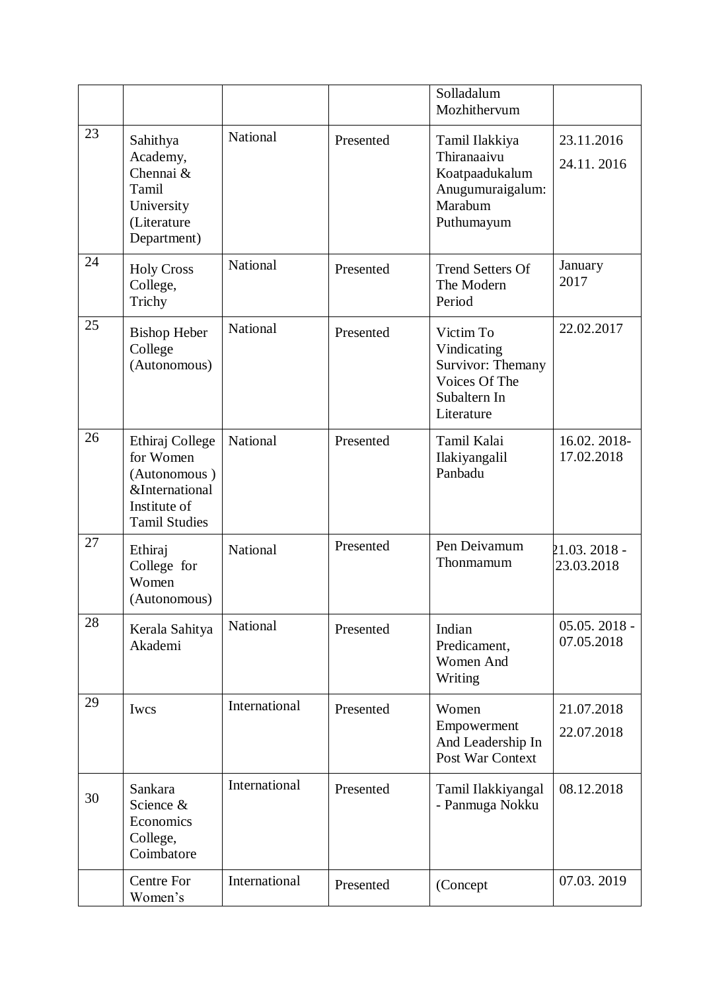|    |                                                                                                                   |               |           | Solladalum<br>Mozhithervum                                                                   |                              |
|----|-------------------------------------------------------------------------------------------------------------------|---------------|-----------|----------------------------------------------------------------------------------------------|------------------------------|
| 23 | Sahithya<br>Academy,<br>Chennai &<br>Tamil<br>University<br>(Literature<br>Department)                            | National      | Presented | Tamil Ilakkiya<br>Thiranaaivu<br>Koatpaadukalum<br>Anugumuraigalum:<br>Marabum<br>Puthumayum | 23.11.2016<br>24.11.2016     |
| 24 | <b>Holy Cross</b><br>College,<br>Trichy                                                                           | National      | Presented | <b>Trend Setters Of</b><br>The Modern<br>Period                                              | January<br>2017              |
| 25 | <b>Bishop Heber</b><br>College<br>(Autonomous)                                                                    | National      | Presented | Victim To<br>Vindicating<br>Survivor: Themany<br>Voices Of The<br>Subaltern In<br>Literature | 22.02.2017                   |
| 26 | Ethiraj College<br>for Women<br>(Autonomous)<br><b>&amp;International</b><br>Institute of<br><b>Tamil Studies</b> | National      | Presented | Tamil Kalai<br>Ilakiyangalil<br>Panbadu                                                      | 16.02.2018-<br>17.02.2018    |
| 27 | Ethiraj<br>College for<br>Women<br>(Autonomous)                                                                   | National      | Presented | Pen Deivamum<br>Thonmamum                                                                    | 21.03. 2018 -<br>23.03.2018  |
| 28 | Kerala Sahitya<br>Akademi                                                                                         | National      | Presented | Indian<br>Predicament,<br>Women And<br>Writing                                               | $05.05.2018 -$<br>07.05.2018 |
| 29 | Iwcs                                                                                                              | International | Presented | Women<br>Empowerment<br>And Leadership In<br>Post War Context                                | 21.07.2018<br>22.07.2018     |
| 30 | Sankara<br>Science &<br>Economics<br>College,<br>Coimbatore                                                       | International | Presented | Tamil Ilakkiyangal<br>- Panmuga Nokku                                                        | 08.12.2018                   |
|    | Centre For<br>Women's                                                                                             | International | Presented | (Concept                                                                                     | 07.03.2019                   |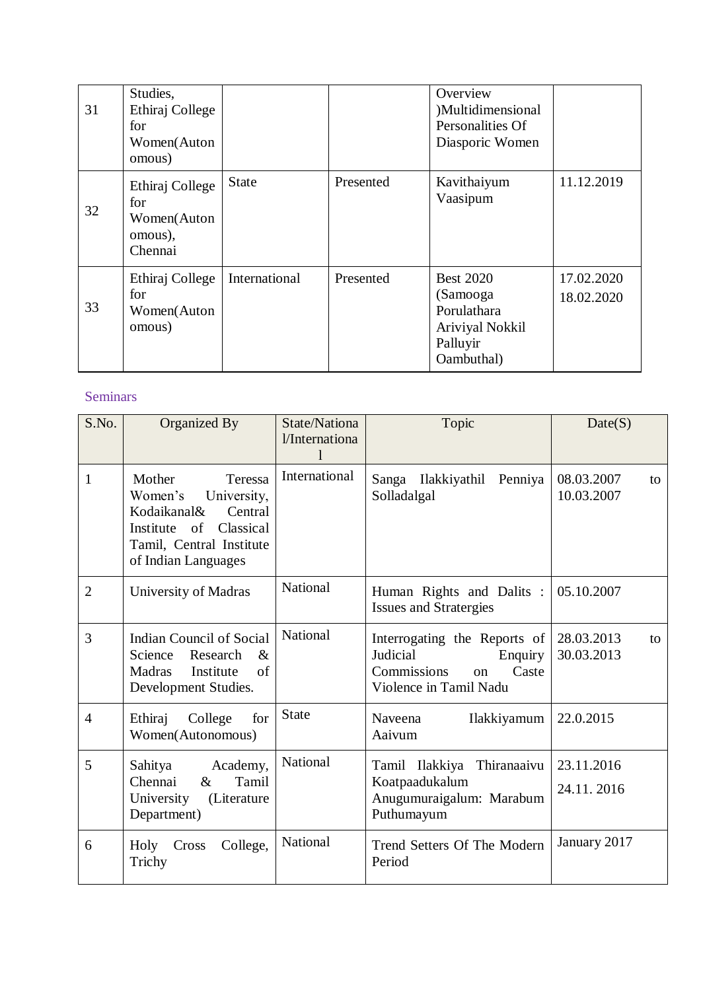| 31 | Studies,<br>Ethiraj College<br>for<br>Women(Auton<br>omous) |               |           | Overview<br>)Multidimensional<br>Personalities Of<br>Diasporic Women                     |                          |
|----|-------------------------------------------------------------|---------------|-----------|------------------------------------------------------------------------------------------|--------------------------|
| 32 | Ethiraj College<br>for<br>Women(Auton<br>omous),<br>Chennai | <b>State</b>  | Presented | Kavithaiyum<br>Vaasipum                                                                  | 11.12.2019               |
| 33 | Ethiraj College<br>for<br>Women(Auton<br>omous)             | International | Presented | <b>Best 2020</b><br>(Samooga<br>Porulathara<br>Ariviyal Nokkil<br>Palluyir<br>Oambuthal) | 17.02.2020<br>18.02.2020 |

# Seminars

| S.No.          | Organized By                                                                                                                                             | State/Nationa<br>l/Internationa<br>1 | Topic                                                                                                                    | Date(S)                        |
|----------------|----------------------------------------------------------------------------------------------------------------------------------------------------------|--------------------------------------|--------------------------------------------------------------------------------------------------------------------------|--------------------------------|
| $\mathbf{1}$   | Mother<br>Teressa<br>Women's<br>University,<br>Kodaikanal&<br>Central<br>Institute<br>of<br>Classical<br>Tamil, Central Institute<br>of Indian Languages | International                        | Sanga Ilakkiyathil<br>Penniya<br>Solladalgal                                                                             | 08.03.2007<br>to<br>10.03.2007 |
| $\overline{2}$ | University of Madras                                                                                                                                     | <b>National</b>                      | Human Rights and Dalits :<br><b>Issues and Stratergies</b>                                                               | 05.10.2007                     |
| 3              | <b>Indian Council of Social</b><br>Science<br>Research<br>$\&$<br>Institute<br>$\alpha$ f<br><b>Madras</b><br>Development Studies.                       | National                             | Interrogating the Reports of<br>Judicial<br>Enquiry<br>Caste<br><b>Commissions</b><br>$\alpha$<br>Violence in Tamil Nadu | 28.03.2013<br>to<br>30.03.2013 |
| $\overline{4}$ | Ethiraj<br>College<br>for<br>Women(Autonomous)                                                                                                           | <b>State</b>                         | Naveena<br>Ilakkiyamum<br>Aaivum                                                                                         | 22.0.2015                      |
| 5              | Academy,<br>Sahitya<br>Chennai<br>Tamil<br>$\&$<br>(Literature<br>University<br>Department)                                                              | National                             | Tamil Ilakkiya<br>Thiranaaivu<br>Koatpaadukalum<br>Anugumuraigalum: Marabum<br>Puthumayum                                | 23.11.2016<br>24.11.2016       |
| 6              | Holy<br>College,<br>Cross<br>Trichy                                                                                                                      | National                             | Trend Setters Of The Modern<br>Period                                                                                    | January 2017                   |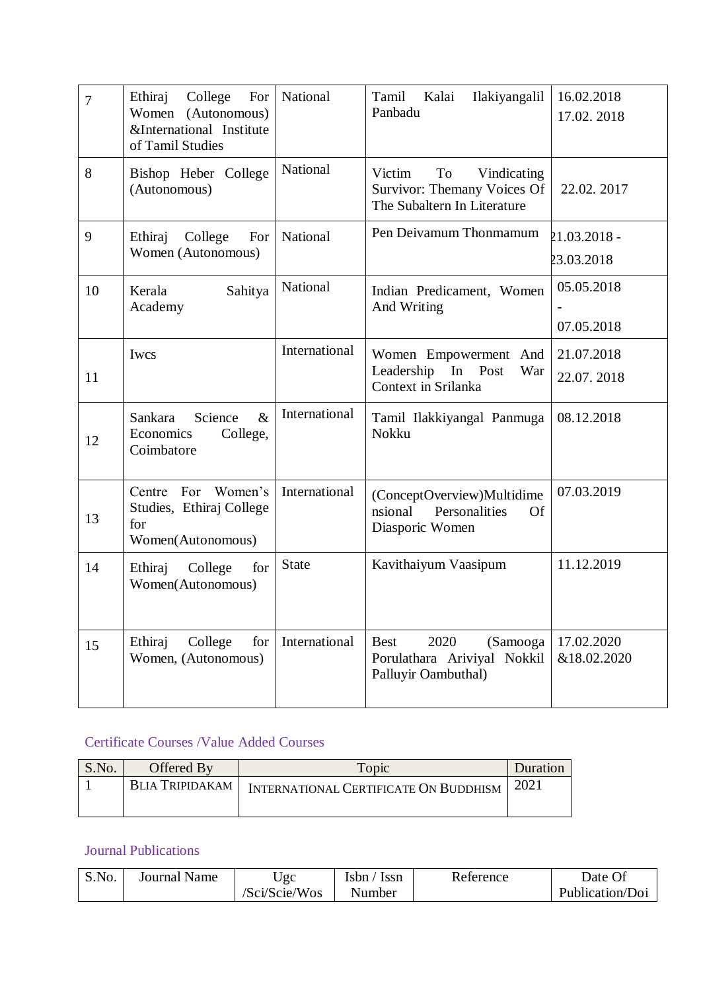| $\overline{7}$ | Ethiraj<br>College<br>For<br>Women<br>(Autonomous)<br>&International Institute<br>of Tamil Studies | National        | Kalai<br>Tamil<br>Ilakiyangalil<br>Panbadu                                                | 16.02.2018<br>17.02.2018   |
|----------------|----------------------------------------------------------------------------------------------------|-----------------|-------------------------------------------------------------------------------------------|----------------------------|
| 8              | Bishop Heber College<br>(Autonomous)                                                               | <b>National</b> | Victim<br>To<br>Vindicating<br>Survivor: Themany Voices Of<br>The Subaltern In Literature | 22.02.2017                 |
| 9              | Ethiraj<br>College<br>For<br>Women (Autonomous)                                                    | National        | Pen Deivamum Thonmamum                                                                    | 21.03.2018 -<br>23.03.2018 |
| 10             | Kerala<br>Sahitya<br>Academy                                                                       | National        | Indian Predicament, Women<br>And Writing                                                  | 05.05.2018<br>07.05.2018   |
| 11             | Iwcs                                                                                               | International   | Women Empowerment And<br>Leadership In Post<br>War<br>Context in Srilanka                 | 21.07.2018<br>22.07.2018   |
| 12             | $\&$<br>Science<br>Sankara<br>Economics<br>College,<br>Coimbatore                                  | International   | Tamil Ilakkiyangal Panmuga<br>Nokku                                                       | 08.12.2018                 |
| 13             | Centre For Women's<br>Studies, Ethiraj College<br>for<br>Women(Autonomous)                         | International   | (ConceptOverview)Multidime<br>Personalities<br>nsional<br>Of<br>Diasporic Women           | 07.03.2019                 |
| 14             | Ethiraj<br>College<br>for<br>Women(Autonomous)                                                     | <b>State</b>    | Kavithaiyum Vaasipum                                                                      | 11.12.2019                 |
| 15             | College<br>Ethiraj<br>for<br>Women, (Autonomous)                                                   | International   | <b>Best</b><br>2020<br>(Samooga<br>Porulathara Ariviyal Nokkil<br>Palluyir Oambuthal)     | 17.02.2020<br>&18.02.2020  |

# Certificate Courses /Value Added Courses

| S.No. | Offered By      | Topic                                             | Duration |
|-------|-----------------|---------------------------------------------------|----------|
|       | BLIA TRIPIDAKAM | INTERNATIONAL CERTIFICATE ON BUDDHISM $\mid 2021$ |          |

## Journal Publications

| S.No. | Journal Name | Jgc           | Isbn<br>Issn | Reference | Date            |
|-------|--------------|---------------|--------------|-----------|-----------------|
|       |              | /Sci/Scie/Wos | Number       |           | Publication/Doi |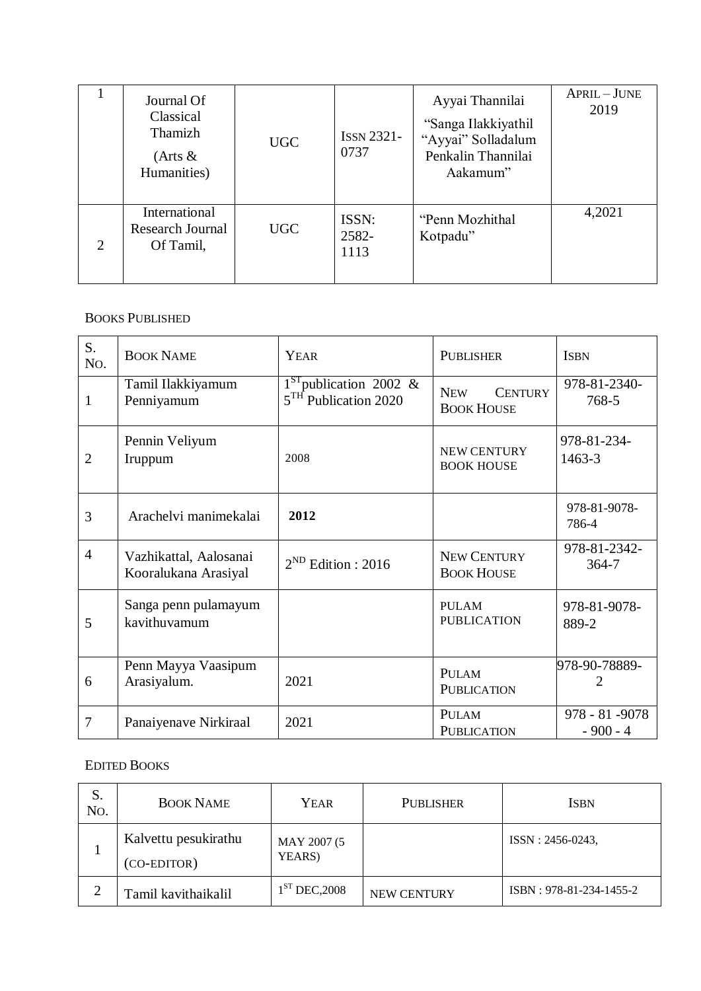|                             | Journal Of<br>Classical<br>Thamizh<br>$(A$ rts $\&$<br>Humanities) | <b>UGC</b> | <b>ISSN 2321-</b><br>0737 | Ayyai Thannilai<br>"Sanga Ilakkiyathil<br>"Ayyai" Solladalum<br>Penkalin Thannilai<br>Aakamum" | APRIL-JUNE<br>2019 |
|-----------------------------|--------------------------------------------------------------------|------------|---------------------------|------------------------------------------------------------------------------------------------|--------------------|
| $\mathcal{D}_{\mathcal{L}}$ | International<br>Research Journal<br>Of Tamil,                     | <b>UGC</b> | ISSN:<br>2582-<br>1113    | "Penn Mozhithal"<br>Kotpadu"                                                                   | 4,2021             |

#### BOOKS PUBLISHED

| S.<br>No.      | <b>BOOK NAME</b>                               | YEAR<br><b>PUBLISHER</b>                                                                                          |                                         | <b>ISBN</b>                   |
|----------------|------------------------------------------------|-------------------------------------------------------------------------------------------------------------------|-----------------------------------------|-------------------------------|
| $\mathbf{1}$   | Tamil Ilakkiyamum<br>Penniyamum                | $1ST$ publication 2002 &<br><b>NEW</b><br><b>CENTURY</b><br>5 <sup>TH</sup> Publication 2020<br><b>BOOK HOUSE</b> |                                         | 978-81-2340-<br>768-5         |
| $\overline{2}$ | Pennin Veliyum<br>Iruppum                      | <b>NEW CENTURY</b><br>2008<br><b>BOOK HOUSE</b>                                                                   |                                         | 978-81-234-<br>1463-3         |
| 3              | Arachelvi manimekalai                          | 2012                                                                                                              |                                         | 978-81-9078-<br>786-4         |
| $\overline{4}$ | Vazhikattal, Aalosanai<br>Kooralukana Arasiyal | $2^{ND}$ Edition : 2016                                                                                           | <b>NEW CENTURY</b><br><b>BOOK HOUSE</b> | 978-81-2342-<br>364-7         |
| 5              | Sanga penn pulamayum<br>kavithuvamum           |                                                                                                                   | <b>PULAM</b><br><b>PUBLICATION</b>      | 978-81-9078-<br>889-2         |
| 6              | Penn Mayya Vaasipum<br>Arasiyalum.             | 2021                                                                                                              | PULAM<br><b>PUBLICATION</b>             | 978-90-78889-<br>2            |
| 7              | Panaiyenave Nirkiraal                          | 2021                                                                                                              | PULAM<br><b>PUBLICATION</b>             | 978 - 81 - 9078<br>$-900 - 4$ |

### EDITED BOOKS

| S.<br>N <sub>O</sub> | <b>BOOK NAME</b>                    | <b>YEAR</b>           | PUBLISHER          | <b>ISBN</b>             |
|----------------------|-------------------------------------|-----------------------|--------------------|-------------------------|
|                      | Kalvettu pesukirathu<br>(CO-EDITOR) | MAY 2007 (5<br>YEARS) |                    | ISSN: 2456-0243,        |
| ◠                    | Tamil kavithaikalil                 | $1ST$ DEC, 2008       | <b>NEW CENTURY</b> | ISBN: 978-81-234-1455-2 |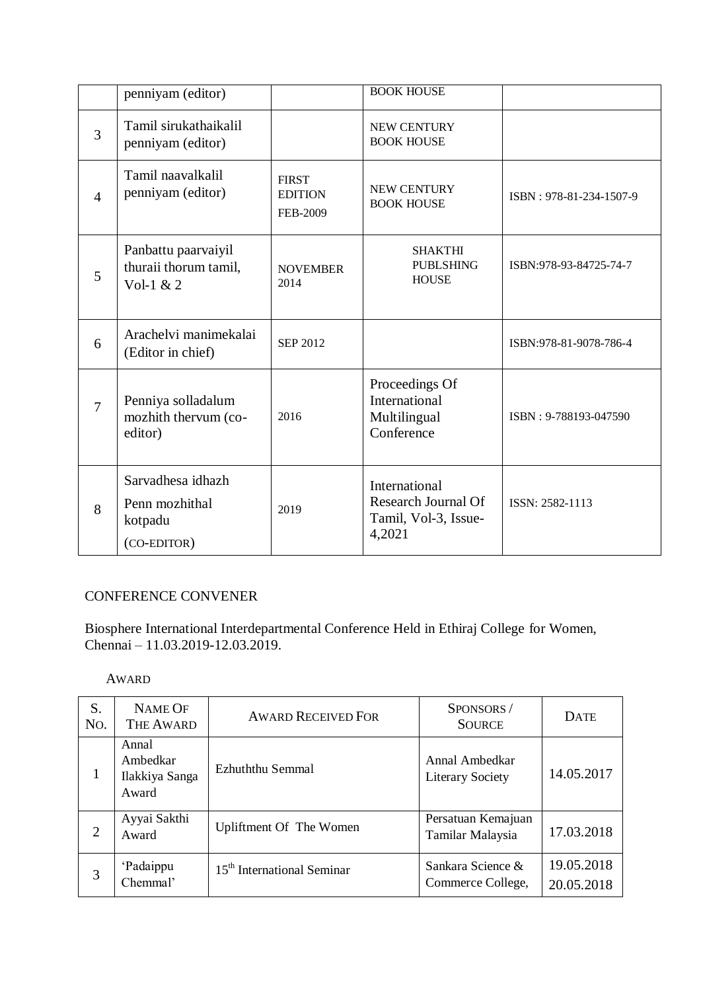|                | penniyam (editor)                                             |                                            | <b>BOOK HOUSE</b>                                                             |                         |
|----------------|---------------------------------------------------------------|--------------------------------------------|-------------------------------------------------------------------------------|-------------------------|
| 3              | Tamil sirukathaikalil<br>penniyam (editor)                    |                                            | <b>NEW CENTURY</b><br><b>BOOK HOUSE</b>                                       |                         |
| $\overline{4}$ | Tamil naavalkalil<br>penniyam (editor)                        | <b>FIRST</b><br><b>EDITION</b><br>FEB-2009 | NEW CENTURY<br><b>BOOK HOUSE</b>                                              | ISBN: 978-81-234-1507-9 |
| 5              | Panbattu paarvaiyil<br>thuraii thorum tamil,<br>Vol-1 $& 2$   | <b>NOVEMBER</b><br>2014                    | <b>SHAKTHI</b><br><b>PUBLSHING</b><br><b>HOUSE</b>                            | ISBN:978-93-84725-74-7  |
| 6              | Arachelvi manimekalai<br>(Editor in chief)                    | <b>SEP 2012</b>                            |                                                                               | ISBN:978-81-9078-786-4  |
| $\overline{7}$ | Penniya solladalum<br>mozhith thervum (co-<br>editor)         | 2016                                       | Proceedings Of<br>International<br>Multilingual<br>Conference                 | ISBN: 9-788193-047590   |
| 8              | Sarvadhesa idhazh<br>Penn mozhithal<br>kotpadu<br>(CO-EDITOR) | 2019                                       | International<br><b>Research Journal Of</b><br>Tamil, Vol-3, Issue-<br>4,2021 | ISSN: 2582-1113         |

# CONFERENCE CONVENER

Biosphere International Interdepartmental Conference Held in Ethiraj College for Women, Chennai – 11.03.2019-12.03.2019.

### AWARD

| S.<br>No. | <b>NAME OF</b><br><b>THE AWARD</b>           | <b>AWARD RECEIVED FOR</b>              | SPONSORS/<br><b>SOURCE</b>                | <b>DATE</b>              |
|-----------|----------------------------------------------|----------------------------------------|-------------------------------------------|--------------------------|
|           | Annal<br>Ambedkar<br>Ilakkiya Sanga<br>Award | Ezhuththu Semmal                       | Annal Ambedkar<br><b>Literary Society</b> | 14.05.2017               |
| 2         | Ayyai Sakthi<br>Award                        | Upliftment Of The Women                | Persatuan Kemajuan<br>Tamilar Malaysia    | 17.03.2018               |
| 3         | 'Padaippu<br>Chemmal'                        | 15 <sup>th</sup> International Seminar | Sankara Science &<br>Commerce College,    | 19.05.2018<br>20.05.2018 |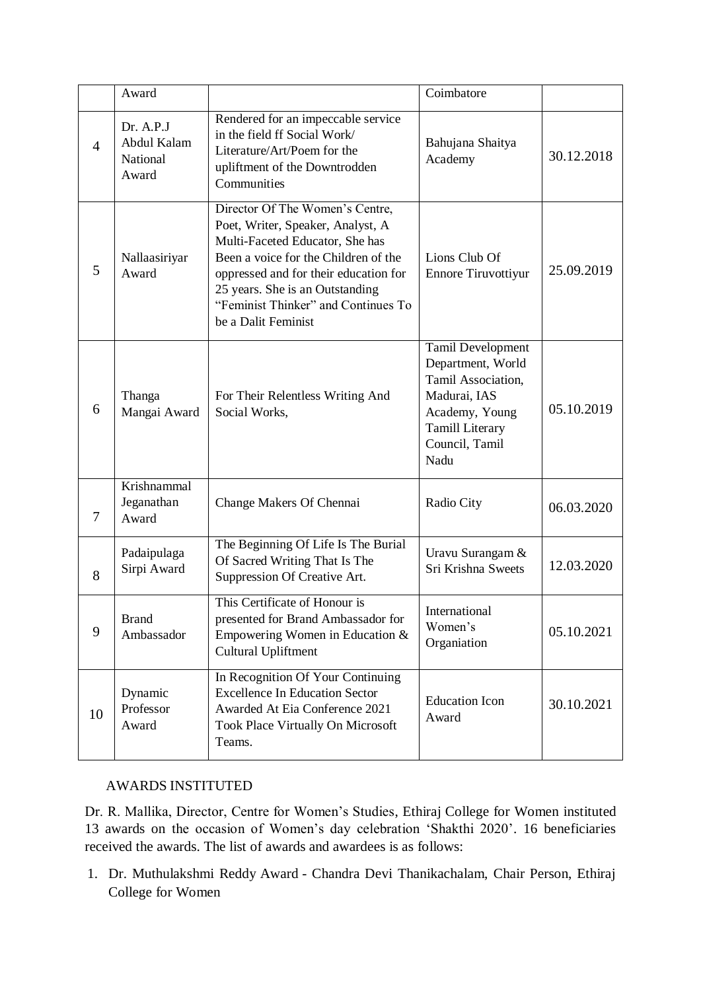|                | Award                                                |                                                                                                                                                                                                                                                                                           | Coimbatore                                                                                                                                                |            |
|----------------|------------------------------------------------------|-------------------------------------------------------------------------------------------------------------------------------------------------------------------------------------------------------------------------------------------------------------------------------------------|-----------------------------------------------------------------------------------------------------------------------------------------------------------|------------|
| $\overline{4}$ | Dr. A.P.J<br>Abdul Kalam<br><b>National</b><br>Award | Rendered for an impeccable service<br>in the field ff Social Work/<br>Literature/Art/Poem for the<br>upliftment of the Downtrodden<br>Communities                                                                                                                                         | Bahujana Shaitya<br>Academy                                                                                                                               | 30.12.2018 |
| 5              | Nallaasiriyar<br>Award                               | Director Of The Women's Centre,<br>Poet, Writer, Speaker, Analyst, A<br>Multi-Faceted Educator, She has<br>Been a voice for the Children of the<br>oppressed and for their education for<br>25 years. She is an Outstanding<br>"Feminist Thinker" and Continues To<br>be a Dalit Feminist | Lions Club Of<br><b>Ennore Tiruvottiyur</b>                                                                                                               | 25.09.2019 |
| 6              | Thanga<br>Mangai Award                               | For Their Relentless Writing And<br>Social Works,                                                                                                                                                                                                                                         | <b>Tamil Development</b><br>Department, World<br>Tamil Association,<br>Madurai, IAS<br>Academy, Young<br><b>Tamill Literary</b><br>Council, Tamil<br>Nadu | 05.10.2019 |
| 7              | Krishnammal<br>Jeganathan<br>Award                   | Change Makers Of Chennai                                                                                                                                                                                                                                                                  | Radio City                                                                                                                                                | 06.03.2020 |
| 8              | Padaipulaga<br>Sirpi Award                           | The Beginning Of Life Is The Burial<br>Of Sacred Writing That Is The<br>Suppression Of Creative Art.                                                                                                                                                                                      | Uravu Surangam &<br>Sri Krishna Sweets                                                                                                                    | 12.03.2020 |
| 9              | <b>Brand</b><br>Ambassador                           | This Certificate of Honour is<br>presented for Brand Ambassador for<br>Empowering Women in Education &<br>Cultural Upliftment                                                                                                                                                             | International<br>Women's<br>Organiation                                                                                                                   | 05.10.2021 |
| 10             | Dynamic<br>Professor<br>Award                        | In Recognition Of Your Continuing<br><b>Excellence In Education Sector</b><br>Awarded At Eia Conference 2021<br>Took Place Virtually On Microsoft<br>Teams.                                                                                                                               | <b>Education Icon</b><br>Award                                                                                                                            | 30.10.2021 |

## AWARDS INSTITUTED

Dr. R. Mallika, Director, Centre for Women"s Studies, Ethiraj College for Women instituted 13 awards on the occasion of Women"s day celebration "Shakthi 2020". 16 beneficiaries received the awards. The list of awards and awardees is as follows:

1. Dr. Muthulakshmi Reddy Award - Chandra Devi Thanikachalam, Chair Person, Ethiraj College for Women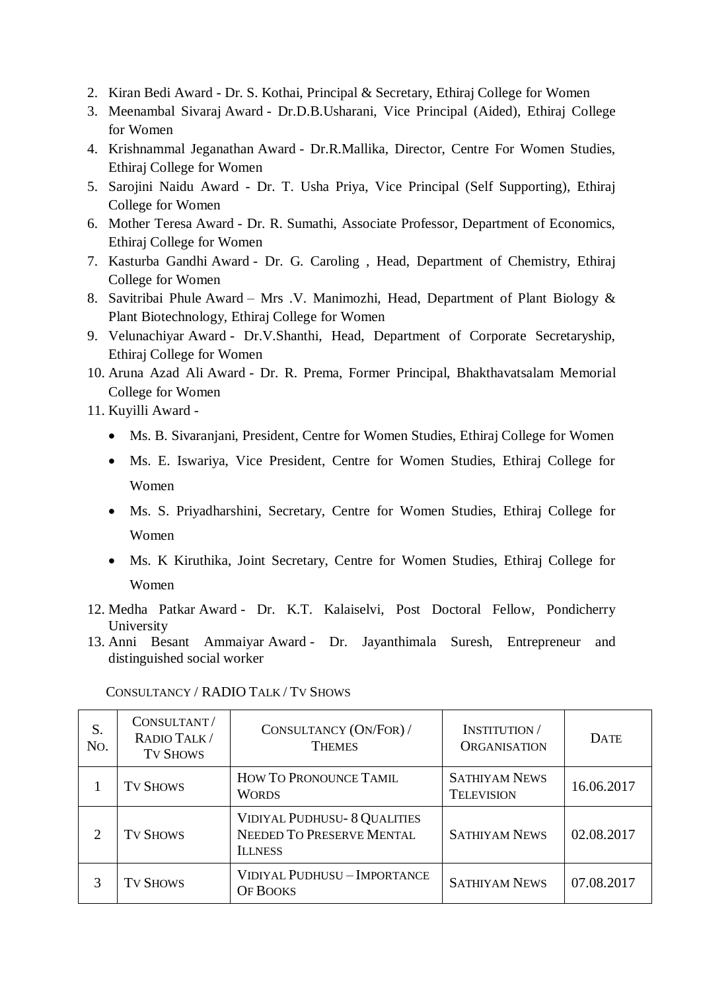- 2. Kiran Bedi Award Dr. S. Kothai, Principal & Secretary, Ethiraj College for Women
- 3. Meenambal Sivaraj Award Dr.D.B.Usharani, Vice Principal (Aided), Ethiraj College for Women
- 4. Krishnammal Jeganathan Award Dr.R.Mallika, Director, Centre For Women Studies, Ethiraj College for Women
- 5. Sarojini Naidu Award Dr. T. Usha Priya, Vice Principal (Self Supporting), Ethiraj College for Women
- 6. Mother Teresa Award Dr. R. Sumathi, Associate Professor, Department of Economics, Ethiraj College for Women
- 7. Kasturba Gandhi Award Dr. G. Caroling , Head, Department of Chemistry, Ethiraj College for Women
- 8. Savitribai Phule Award Mrs .V. Manimozhi, Head, Department of Plant Biology & Plant Biotechnology, Ethiraj College for Women
- 9. Velunachiyar Award Dr.V.Shanthi, Head, Department of Corporate Secretaryship, Ethiraj College for Women
- 10. Aruna Azad Ali Award Dr. R. Prema, Former Principal, Bhakthavatsalam Memorial College for Women
- 11. Kuyilli Award
	- Ms. B. Sivaranjani, President, Centre for Women Studies, Ethiraj College for Women
	- Ms. E. Iswariya, Vice President, Centre for Women Studies, Ethiraj College for Women
	- Ms. S. Priyadharshini, Secretary, Centre for Women Studies, Ethiraj College for Women
	- Ms. K Kiruthika, Joint Secretary, Centre for Women Studies, Ethiraj College for Women
- 12. Medha Patkar Award Dr. K.T. Kalaiselvi, Post Doctoral Fellow, Pondicherry University
- 13. Anni Besant Ammaiyar Award Dr. Jayanthimala Suresh, Entrepreneur and distinguished social worker

| S.<br>N <sub>O</sub> .      | CONSULTANT/<br>RADIO TALK/<br><b>TV SHOWS</b> | CONSULTANCY (ON/FOR) /<br><b>THEMES</b>                                            | <b>INSTITUTION</b> /<br><b>ORGANISATION</b> | <b>DATE</b> |
|-----------------------------|-----------------------------------------------|------------------------------------------------------------------------------------|---------------------------------------------|-------------|
|                             | <b>TV SHOWS</b>                               | HOW TO PRONOUNCE TAMIL<br><b>WORDS</b>                                             | <b>SATHIYAM NEWS</b><br><b>TELEVISION</b>   | 16.06.2017  |
| $\mathcal{D}_{\mathcal{A}}$ | <b>TV SHOWS</b>                               | <b>VIDIYAL PUDHUSU- 8 QUALITIES</b><br>NEEDED TO PRESERVE MENTAL<br><b>ILLNESS</b> | <b>SATHIYAM NEWS</b>                        | 02.08.2017  |
|                             | <b>TV SHOWS</b>                               | VIDIYAL PUDHUSU - IMPORTANCE<br><b>OF BOOKS</b>                                    | <b>SATHIYAM NEWS</b>                        | 07.08.2017  |

CONSULTANCY / RADIO TALK / TV SHOWS